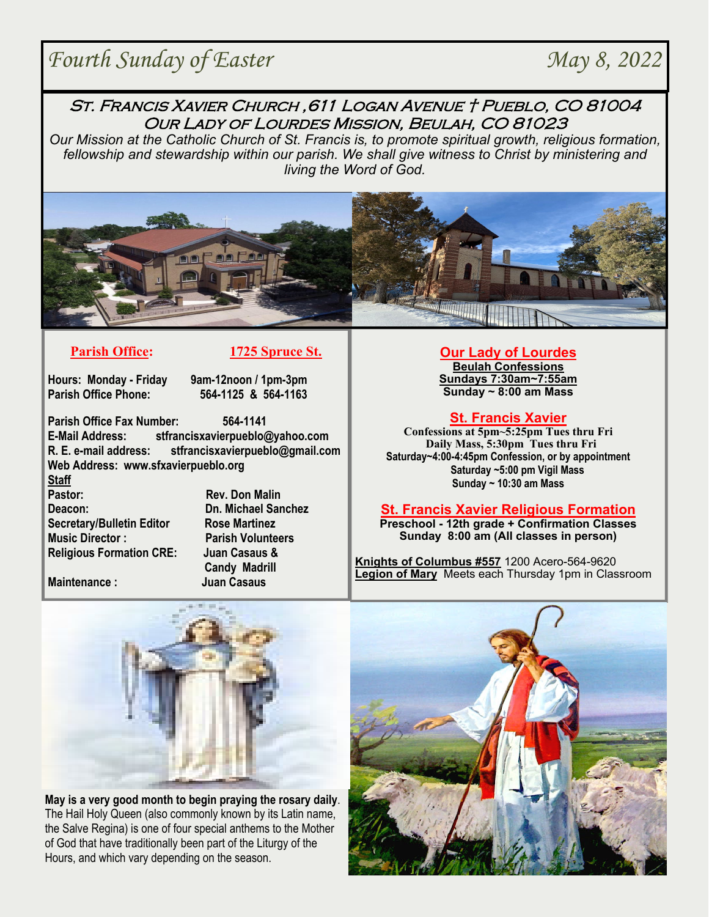# **Fourth Sunday of Easter May 8, 2022**

# St. Francis Xavier Church ,611 Logan Avenue † Pueblo, CO 81004 Our Lady of Lourdes Mission, Beulah, CO 81023

*Our Mission at the Catholic Church of St. Francis is, to promote spiritual growth, religious formation, fellowship and stewardship within our parish. We shall give witness to Christ by ministering and living the Word of God.* 





**Hours: Monday - Friday 9am-12noon / 1pm-3pm** 

**Parish Office Phone: 564-1125 & 564-1163**

**Parish Office Fax Number: 564-1141 E-Mail Address: stfrancisxavierpueblo@yahoo.com R. E. e-mail address: stfrancisxavierpueblo@gmail.com Web Address: www.sfxavierpueblo.org** 

**Staff Pastor:** Rev. Don Malin **Deacon: Dn. Michael Sanchez Secretary/Bulletin Editor Rose Martinez Music Director : Parish Volunteers Religious Formation CRE: Juan Casaus &** 

 **Candy Madrill Maintenance : Juan Casaus** 

### **Our Lady of Lourdes**

**Beulah Confessions Sundays 7:30am~7:55am Sunday ~ 8:00 am Mass** 

## **St. Francis Xavier**

**Confessions at 5pm~5:25pm Tues thru Fri Daily Mass, 5:30pm Tues thru Fri Saturday~4:00-4:45pm Confession, or by appointment Saturday ~5:00 pm Vigil Mass Sunday ~ 10:30 am Mass** 

## **St. Francis Xavier Religious Formation**

**Preschool - 12th grade + Confirmation Classes Sunday 8:00 am (All classes in person)** 

**Knights of Columbus #557** 1200 Acero-564-9620 **Legion of Mary** Meets each Thursday 1pm in Classroom



**May is a very good month to begin praying the rosary daily**. The Hail Holy Queen (also commonly known by its Latin name, the Salve Regina) is one of four special anthems to the Mother of God that have traditionally been part of the Liturgy of the Hours, and which vary depending on the season.

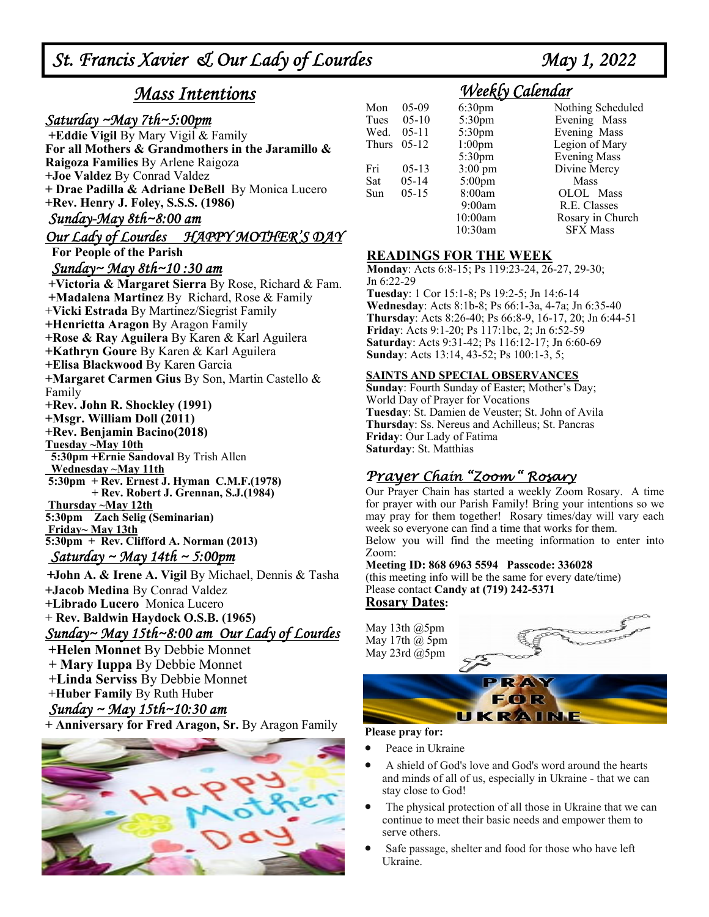# *Mass Intentions*

# *Saturday ~May 7th~5:00pm*

 **+Eddie Vigil** By Mary Vigil & Family **For all Mothers & Grandmothers in the Jaramillo & Raigoza Families** By Arlene Raigoza **+Joe Valdez** By Conrad Valdez **+ Drae Padilla & Adriane DeBell** By Monica Lucero **+Rev. Henry J. Foley, S.S.S. (1986)** 

## *Sunday-May 8th~8:00 am*

# *Our Lady of Lourdes HAPPY MOTHER'S DAY*

 **For People of the Parish**

### *Sunday~ May 8th~10 :30 am*

 **+Victoria & Margaret Sierra** By Rose, Richard & Fam.  **+Madalena Martinez** By Richard, Rose & Family +**Vicki Estrada** By Martinez/Siegrist Family **+Henrietta Aragon** By Aragon Family **+Rose & Ray Aguilera** By Karen & Karl Aguilera **+Kathryn Goure** By Karen & Karl Aguilera **+Elisa Blackwood** By Karen Garcia **+Margaret Carmen Gius** By Son, Martin Castello & Family **+Rev. John R. Shockley (1991) +Msgr. William Doll (2011) +Rev. Benjamin Bacino(2018) Tuesday ~May 10th 5:30pm +Ernie Sandoval** By Trish Allen  **Wednesday ~May 11th 5:30pm + Rev. Ernest J. Hyman C.M.F.(1978) + Rev. Robert J. Grennan, S.J.(1984) Thursday ~May 12th 5:30pm Zach Selig (Seminarian) Friday~ May 13th 5:30pm + Rev. Clifford A. Norman (2013)**  *Saturday ~ May 14th ~ 5:00pm* 

*+***John A. & Irene A. Vigil** By Michael, Dennis & Tasha **+Jacob Medina** By Conrad Valdez **+Librado Lucero** Monica Lucero + **Rev. Baldwin Haydock O.S.B. (1965)**  *Sunday~ May 15th~8:00 am Our Lady of Lourdes* 

**+Helen Monnet** By Debbie Monnet **+ Mary Iuppa** By Debbie Monnet  **+Linda Serviss** By Debbie Monnet +**Huber Family** By Ruth Huber

## *Sunday ~ May 15th~10:30 am*

**+ Anniversary for Fred Aragon, Sr.** By Aragon Family



# *Weekly Calendar*

| Mon   | $05-09$   | 6:30pm             | Nothing Scheduled   |
|-------|-----------|--------------------|---------------------|
| Tues  | $05-10$   | 5:30pm             | Evening Mass        |
| Wed.  | $05-11$   | 5:30pm             | Evening Mass        |
| Thurs | $05-12$   | 1:00 <sub>pm</sub> | Legion of Mary      |
|       |           | 5:30pm             | <b>Evening Mass</b> |
| Fri   | $05-13$   | $3:00 \text{ pm}$  | Divine Mercy        |
| Sat   | $05 - 14$ | $5:00$ pm          | Mass                |
| Sun   | $05-15$   | 8:00am             | OLOL Mass           |
|       |           | 9:00am             | R.E. Classes        |
|       |           | 10:00am            | Rosary in Church    |
|       |           | 10:30am            | <b>SFX Mass</b>     |

### **READINGS FOR THE WEEK**

**Monday**: Acts 6:8-15; Ps 119:23-24, 26-27, 29-30; Jn 6:22-29

**Tuesday**: 1 Cor 15:1-8; Ps 19:2-5; Jn 14:6-14 **Wednesday**: Acts 8:1b-8; Ps 66:1-3a, 4-7a; Jn 6:35-40 **Thursday**: Acts 8:26-40; Ps 66:8-9, 16-17, 20; Jn 6:44-51 **Friday**: Acts 9:1-20; Ps 117:1bc, 2; Jn 6:52-59 **Saturday**: Acts 9:31-42; Ps 116:12-17; Jn 6:60-69 **Sunday**: Acts 13:14, 43-52; Ps 100:1-3, 5;

#### **SAINTS AND SPECIAL OBSERVANCES**

**Sunday**: Fourth Sunday of Easter; Mother's Day; World Day of Prayer for Vocations **Tuesday**: St. Damien de Veuster; St. John of Avila **Thursday**: Ss. Nereus and Achilleus; St. Pancras **Friday**: Our Lady of Fatima **Saturday**: St. Matthias

# Prayer Chain "Zoom " Rosary

Our Prayer Chain has started a weekly Zoom Rosary. A time for prayer with our Parish Family! Bring your intentions so we may pray for them together! Rosary times/day will vary each week so everyone can find a time that works for them. Below you will find the meeting information to enter into Zoom:

#### **Meeting ID: 868 6963 5594 Passcode: 336028**

(this meeting info will be the same for every date/time) Please contact **Candy at (719) 242-5371 Rosary Dates:** 

May 13th @5pm May 17th  $(a)$  5pm May 23rd @5pm



# RA) FØR UKRAINE

#### **Please pray for:**

- Peace in Ukraine
- A shield of God's love and God's word around the hearts and minds of all of us, especially in Ukraine - that we can stay close to God!
- The physical protection of all those in Ukraine that we can continue to meet their basic needs and empower them to serve others.
- Safe passage, shelter and food for those who have left Ukraine.